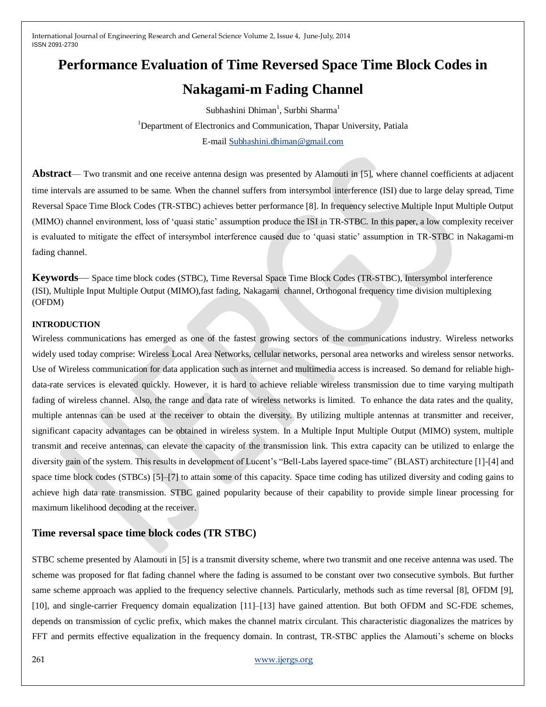# **Performance Evaluation of Time Reversed Space Time Block Codes in**

## **Nakagami-m Fading Channel**

Subhashini Dhiman<sup>1</sup>, Surbhi Sharma<sup>1</sup> <sup>1</sup>Department of Electronics and Communication, Thapar University, Patiala

E-mai[l Subhashini.dhiman@gmail.com](mailto:Subhashini.dhiman@gmail.com)

**Abstract**— Two transmit and one receive antenna design was presented by Alamouti in [5], where channel coefficients at adjacent time intervals are assumed to be same. When the channel suffers from intersymbol interference (ISI) due to large delay spread, Time Reversal Space Time Block Codes (TR-STBC) achieves better performance [8]. In frequency selective Multiple Input Multiple Output (MIMO) channel environment, loss of ‗quasi static' assumption produce the ISI in TR-STBC. In this paper, a low complexity receiver is evaluated to mitigate the effect of intersymbol interference caused due to 'quasi static' assumption in TR-STBC in Nakagami-m fading channel.

**Keywords**— Space time block codes (STBC), Time Reversal Space Time Block Codes (TR-STBC), Intersymbol interference (ISI), Multiple Input Multiple Output (MIMO),fast fading, Nakagami channel, Orthogonal frequency time division multiplexing (OFDM)

#### **INTRODUCTION**

Wireless communications has emerged as one of the fastest growing sectors of the communications industry. Wireless networks widely used today comprise: Wireless Local Area Networks, cellular networks, personal area networks and wireless sensor networks. Use of Wireless communication for data application such as internet and multimedia access is increased. So demand for reliable highdata-rate services is elevated quickly. However, it is hard to achieve reliable wireless transmission due to time varying multipath fading of wireless channel. Also, the range and data rate of wireless networks is limited. To enhance the data rates and the quality, multiple antennas can be used at the receiver to obtain the diversity. By utilizing multiple antennas at transmitter and receiver, significant capacity advantages can be obtained in wireless system. In a Multiple Input Multiple Output (MIMO) system, multiple transmit and receive antennas, can elevate the capacity of the transmission link. This extra capacity can be utilized to enlarge the diversity gain of the system. This results in development of Lucent's "Bell-Labs layered space-time" (BLAST) architecture [1]-[4] and space time block codes (STBCs) [5]–[7] to attain some of this capacity. Space time coding has utilized diversity and coding gains to achieve high data rate transmission. STBC gained popularity because of their capability to provide simple linear processing for maximum likelihood decoding at the receiver.

## **Time reversal space time block codes (TR STBC)**

STBC scheme presented by Alamouti in [5] is a transmit diversity scheme, where two transmit and one receive antenna was used. The scheme was proposed for flat fading channel where the fading is assumed to be constant over two consecutive symbols. But further same scheme approach was applied to the frequency selective channels. Particularly, methods such as time reversal [8], OFDM [9], [10], and single-carrier Frequency domain equalization [11]–[13] have gained attention. But both OFDM and SC-FDE schemes, depends on transmission of cyclic prefix, which makes the channel matrix circulant. This characteristic diagonalizes the matrices by FFT and permits effective equalization in the frequency domain. In contrast, TR-STBC applies the Alamouti's scheme on blocks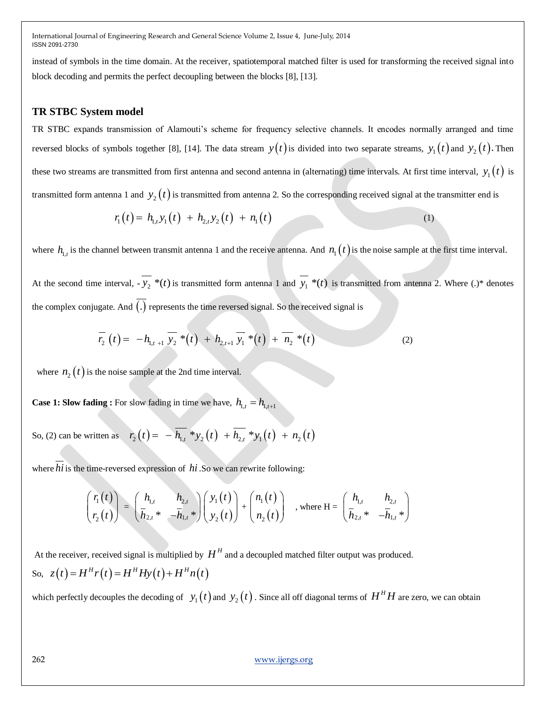instead of symbols in the time domain. At the receiver, spatiotemporal matched filter is used for transforming the received signal into block decoding and permits the perfect decoupling between the blocks [8], [13].

### **TR STBC System model**

TR STBC expands transmission of Alamouti's scheme for frequency selective channels. It encodes normally arranged and time reversed blocks of symbols together [8], [14]. The data stream  $y(t)$  is divided into two separate streams,  $y_1(t)$  and  $y_2(t)$ . Then these two streams are transmitted from first antenna and second antenna in (alternating) time intervals. At first time interval,  $y_1(t)$  is transmitted form antenna 1 and  $y_2(t)$  is transmitted from antenna 2. So the corresponding received signal at the transmitter end is hese two streams are transmitted from first antenna and second antenna in (alternating) time intervals. At first time<br>  $r_1$  ansmitted form antenna 1 and  $y_2(t)$  is transmitted from antenna 2. So the corresponding receive

$$
r_1(t) = h_{1,t} y_1(t) + h_{2,t} y_2(t) + n_1(t)
$$
\n(1)

where  $h_{1,t}$  is the channel between transmit antenna 1 and the receive antenna. And  $n_1(t)$  is the noise sample at the first time interval.

At the second time interval,  $\cdot$   $y_2$  \*(t) is transmitted form antenna 1 and  $y_1$  \*(t) is transmitted from antenna 2. Where (.)\* denotes the complex conjugate. And  $(.)$  represents the time reversed signal. So the received signal is

$$
\overline{r_2}(t) = -h_{1,t+1} \ \overline{y_2}^* (t) + h_{2,t+1} \ \overline{y_1}^* (t) + \overline{n_2}^* (t) \tag{2}
$$

where  $n_2(t)$  is the noise sample at the 2nd time interval.

**Case 1: Slow fading :** For slow fading in time we have,  $h_{1,t} = h_{1,t+1}$ 

So, (2) can be written as 
$$
r_2(t) = -\overline{h_{1,t}} * y_2(t) + \overline{h_{2,t}} * y_1(t) + n_2(t)
$$

where *hi* is the time-reversed expression of *hi*. So we can rewrite following:

$$
\begin{pmatrix} r_1(t) \\ r_2(t) \end{pmatrix} = \begin{pmatrix} h_{1,t} & h_{2,t} \\ \bar{h}_{2,t} * & -\bar{h}_{1,t} \end{pmatrix} \begin{pmatrix} y_1(t) \\ y_2(t) \end{pmatrix} + \begin{pmatrix} n_1(t) \\ n_2(t) \end{pmatrix} , \text{ where } H = \begin{pmatrix} h_{1,t} & h_{2,t} \\ \bar{h}_{2,t} * & -\bar{h}_{1,t} \end{pmatrix}
$$

At the receiver, received signal is multiplied by  $H^H$  and a decoupled matched filter output was produced. At the receiver, received signal is multiplied by 1<br>So,  $z(t) = H^H r(t) = H^H H y(t) + H^H n(t)$ 

which perfectly decouples the decoding of  $y_1(t)$  and  $y_2(t)$  . Since all off diagonal terms of  $H^H H$  are zero, we can obtain

262 [www.ijergs.org](http://www.ijergs.org/)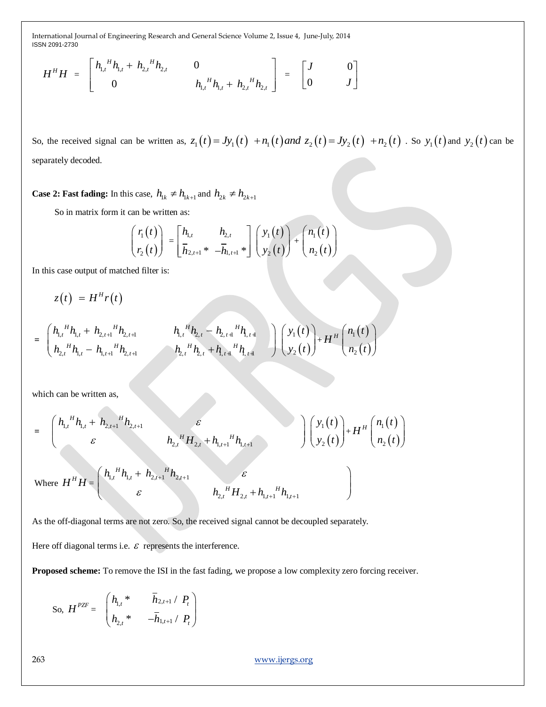$$
H^{H}H = \begin{bmatrix} h_{1,t}^{H}h_{1,t} + h_{2,t}^{H}h_{2,t} & 0 & 0 \\ 0 & h_{1,t}^{H}h_{1,t} + h_{2,t}^{H}h_{2,t} \end{bmatrix} = \begin{bmatrix} J & 0 \\ 0 & J \end{bmatrix}
$$

So, the received signal can be written as,  $z_1(t) = Jy_1(t) + n_1(t)$  and  $z_2(t) = Jy_2(t) + n_2(t)$ . So  $y_1(t)$  and  $y_2(t)$  can be separately decoded.

**Case 2: Fast fading:** In this case,  $h_{1k} \neq h_{1k+1}$  and  $h_{2k} \neq h_{2k+1}$ 

So in matrix form it can be written as:

$$
\begin{pmatrix} r_1(t) \ r_2(t) \end{pmatrix} = \begin{bmatrix} h_{1,t} & h_{2,t} \ \overline{h}_{2,t+1} & \overline{h}_{2,t+1} \end{bmatrix} \begin{pmatrix} y_1(t) \ y_2(t) \end{pmatrix} + \begin{pmatrix} n_1(t) \ n_2(t) \end{pmatrix}
$$

In this case output of matched filter is:

$$
z(t) = HH r(t)
$$
  
=  $\begin{pmatrix} h_{1,t}^H h_{1,t} + h_{2,t+1}^H h_{2,t+1} & h_{1,t}^H h_{2,t} - h_{2,t+1}^H h_{1,t+1} \\ h_{2,t}^H h_{1,t} - h_{1,t+1}^H h_{2,t+1} & h_{2,t}^H h_{2,t} + h_{1,t+1}^H h_{1,t+1} \end{pmatrix} \begin{pmatrix} y_1(t) \\ y_2(t) \end{pmatrix} + HH \begin{pmatrix} n_1(t) \\ n_2(t) \end{pmatrix}$ 

**=**

which can be written as,  
\n
$$
= \begin{pmatrix} h_{1,t}^H h_{1,t} + h_{2,t+1}^H h_{2,t+1} & \varepsilon \\ \varepsilon & h_{2,t}^H H_{2,t} + h_{1,t+1}^H h_{1,t+1} \end{pmatrix} \begin{pmatrix} y_1(t) \\ y_2(t) \end{pmatrix} + H^H \begin{pmatrix} n_1(t) \\ n_2(t) \end{pmatrix}
$$
\nwhere  $H^H H = \begin{pmatrix} h_{1,t}^H h_{1,t} + h_{2,t+1}^H h_{2,t+1} & \varepsilon \\ \varepsilon & h_{2,t}^H H_{2,t} + h_{1,t+1}^H h_{1,t+1} \end{pmatrix}$ 

As the off-diagonal terms are not zero. So, the received signal cannot be decoupled separately.

Here off diagonal terms i.e.  $\varepsilon$  represents the interference.

**Proposed scheme:** To remove the ISI in the fast fading, we propose a low complexity zero forcing receiver.

So, 
$$
H^{PZF} = \begin{pmatrix} h_{1,t} & \bar{h}_{2,t+1} / P_t \\ h_{2,t} & -\bar{h}_{1,t+1} / P_t \end{pmatrix}
$$

263 [www.ijergs.org](http://www.ijergs.org/)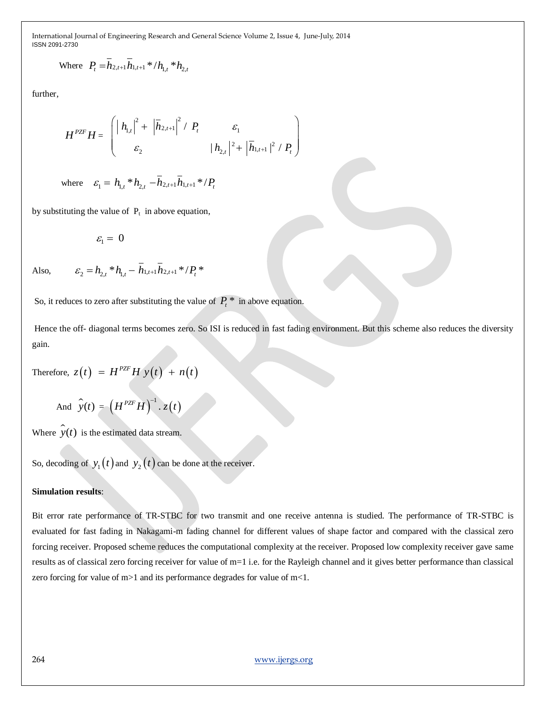Where 
$$
P_t = \overline{h}_{2,t+1} \overline{h}_{1,t+1} * / h_{1,t} * h_{2,t}
$$

further,

$$
H^{PZF}H = \begin{pmatrix} | h_{1,t} |^2 + | \overline{h}_{2,t+1} |^2 / P_t & \varepsilon_1 \\ \varepsilon_2 & | h_{2,t} |^2 + | \overline{h}_{1,t+1} |^2 / P_t \end{pmatrix}
$$

where 
$$
\varepsilon_1 = h_{1,t} * h_{2,t} - \overline{h}_{2,t+1} \overline{h}_{1,t+1} * / P_t
$$

 $\varepsilon_2 = h_{2,t} * h_{1,t} - \overline{h}_{1,t+1} \overline{h}_{2,t+1} * / P_t *$ 

by substituting the value of  $P_t$  in above equation,

$$
\varepsilon_{\rm l}^{} = \, 0
$$

Also,

So, it reduces to zero after substituting the value of  $P_t^*$  in above equation.

Hence the off- diagonal terms becomes zero. So ISI is reduced in fast fading environment. But this scheme also reduces the diversity gain.

Therefore, 
$$
z(t) = H^{PZF}Hy(t) + n(t)
$$

And 
$$
\hat{y}(t) = (H^{PZF}H)^{-1} \cdot z(t)
$$

Where  $\hat{y}(t)$  is the estimated data stream.

So, decoding of  $y_1(t)$  and  $y_2(t)$  can be done at the receiver.

#### **Simulation results**:

Bit error rate performance of TR-STBC for two transmit and one receive antenna is studied. The performance of TR-STBC is evaluated for fast fading in Nakagami-m fading channel for different values of shape factor and compared with the classical zero forcing receiver. Proposed scheme reduces the computational complexity at the receiver. Proposed low complexity receiver gave same results as of classical zero forcing receiver for value of m=1 i.e. for the Rayleigh channel and it gives better performance than classical zero forcing for value of m>1 and its performance degrades for value of m<1.